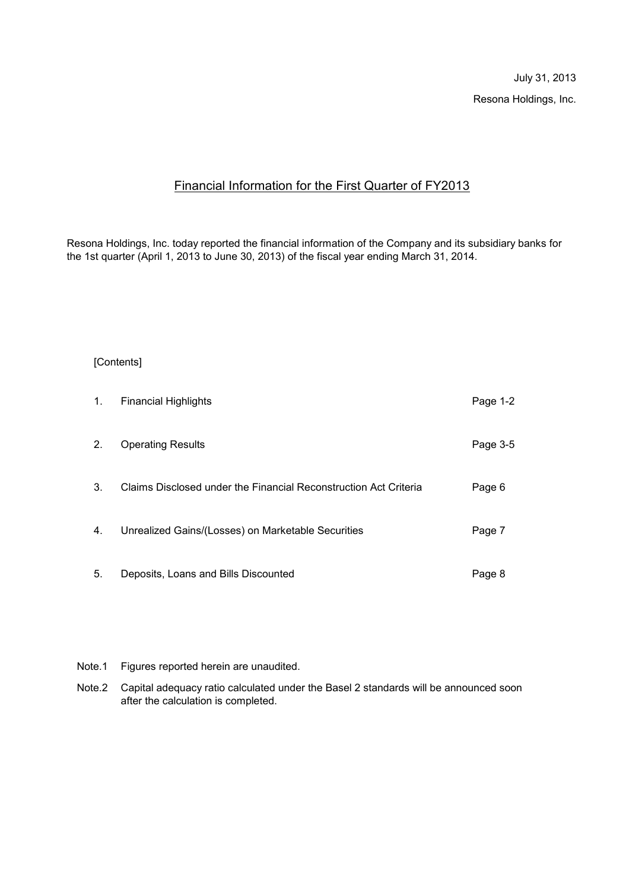July 31, 2013 Resona Holdings, Inc.

# Financial Information for the First Quarter of FY2013

Resona Holdings, Inc. today reported the financial information of the Company and its subsidiary banks for the 1st quarter (April 1, 2013 to June 30, 2013) of the fiscal year ending March 31, 2014.

## [Contents]

| 1. | <b>Financial Highlights</b>                                      | Page 1-2 |
|----|------------------------------------------------------------------|----------|
| 2. | <b>Operating Results</b>                                         | Page 3-5 |
| 3. | Claims Disclosed under the Financial Reconstruction Act Criteria | Page 6   |
| 4. | Unrealized Gains/(Losses) on Marketable Securities               | Page 7   |
| 5. | Deposits, Loans and Bills Discounted                             | Page 8   |

- Note.1 Figures reported herein are unaudited.
- Note.2 Capital adequacy ratio calculated under the Basel 2 standards will be announced soon after the calculation is completed.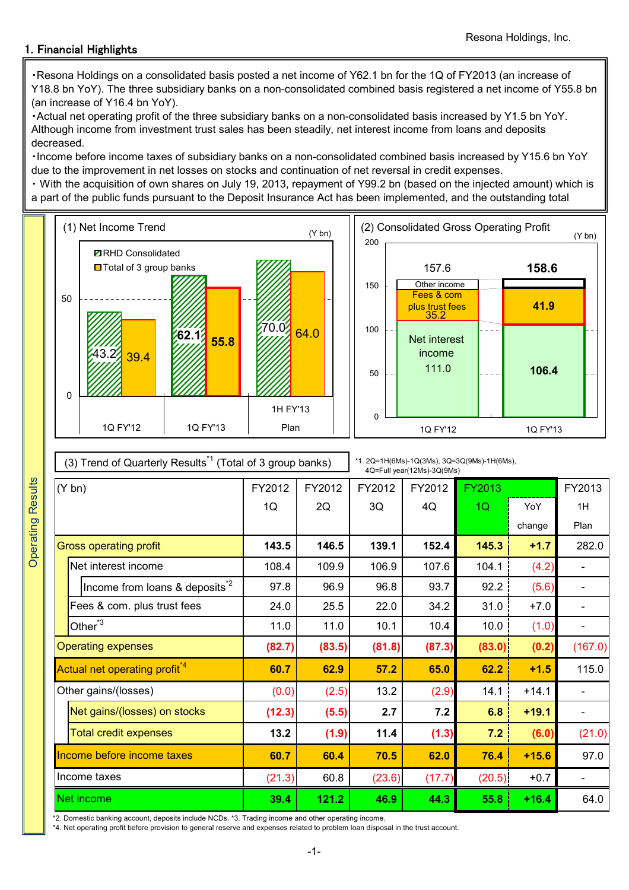# 1. Financial Highlights

・Resona Holdings on a consolidated basis posted a net income of Y62.1 bn for the 1Q of FY2013 (an increase of Y18.8 bn YoY). The three subsidiary banks on a non-consolidated combined basis registered a net income of Y55.8 bn (an increase of Y16.4 bn YoY).

・Actual net operating profit of the three subsidiary banks on a non-consolidated basis increased by Y1.5 bn YoY. Although income from investment trust sales has been steadily, net interest income from loans and deposits decreased.

・Income before income taxes of subsidiary banks on a non-consolidated combined basis increased by Y15.6 bn YoY due to the improvement in net losses on stocks and continuation of net reversal in credit expenses.

・ With the acquisition of own shares on July 19, 2013, repayment of Y99.2 bn (based on the injected amount) which is a part of the public funds pursuant to the Deposit Insurance Act has been implemented, and the outstanding total



| (3) Trend of Quarterly Results <sup>*1</sup> (Total of 3 group banks) |        |        | *1. 2Q=1H(6Ms)-1Q(3Ms), 3Q=3Q(9Ms)-1H(6Ms),<br>4Q=Full year(12Ms)-3Q(9Ms) |        |        |         |         |  |
|-----------------------------------------------------------------------|--------|--------|---------------------------------------------------------------------------|--------|--------|---------|---------|--|
| $(Y$ bn)                                                              | FY2012 | FY2012 | FY2012                                                                    | FY2012 | FY2013 |         | FY2013  |  |
|                                                                       | 1Q     | 2Q     | 3Q                                                                        | 4Q     | 1Q     | YoY     | 1H      |  |
|                                                                       |        |        |                                                                           |        |        | change  | Plan    |  |
| <b>Gross operating profit</b>                                         | 143.5  | 146.5  | 139.1                                                                     | 152.4  | 145.3  | $+1.7$  | 282.0   |  |
| Net interest income                                                   | 108.4  | 109.9  | 106.9                                                                     | 107.6  | 104.1  | (4.2)   |         |  |
| Income from loans & deposits <sup>*2</sup>                            | 97.8   | 96.9   | 96.8                                                                      | 93.7   | 92.2   | (5.6)   |         |  |
| Fees & com. plus trust fees                                           | 24.0   | 25.5   | 22.0                                                                      | 34.2   | 31.0   | $+7.0$  |         |  |
| Other $3$                                                             | 11.0   | 11.0   | 10.1                                                                      | 10.4   | 10.0   | (1.0)   |         |  |
| <b>Operating expenses</b>                                             | (82.7) | (83.5) | (81.8)                                                                    | (87.3) | (83.0) | (0.2)   | (167.0) |  |
| Actual net operating profit <sup>*4</sup>                             | 60.7   | 62.9   | 57.2                                                                      | 65.0   | 62.2   | $+1.5$  | 115.0   |  |
| Other gains/(losses)                                                  | (0.0)  | (2.5)  | 13.2                                                                      | (2.9)  | 14.1   | $+14.1$ |         |  |
| Net gains/(losses) on stocks                                          | (12.3) | (5.5)  | 2.7                                                                       | 7.2    | 6.8    | $+19.1$ |         |  |
| <b>Total credit expenses</b>                                          | 13.2   | (1.9)  | 11.4                                                                      | (1.3)  | 7.2    | (6.0)   | (21.0)  |  |
| Income before income taxes                                            | 60.7   | 60.4   | 70.5                                                                      | 62.0   | 76.4   | $+15.6$ | 97.0    |  |
| Income taxes                                                          | (21.3) | 60.8   | (23.6)                                                                    | (17.7) | (20.5) | $+0.7$  |         |  |
| Net income                                                            | 39.4   | 121.2  | 46.9                                                                      | 44.3   | 55.8   | $+16.4$ | 64.0    |  |

\*2. Domestic banking account, deposits include NCDs. \*3. Trading income and other operating income.

\*4. Net operating profit before provision to general reserve and expenses related to problem loan disposal in the trust account.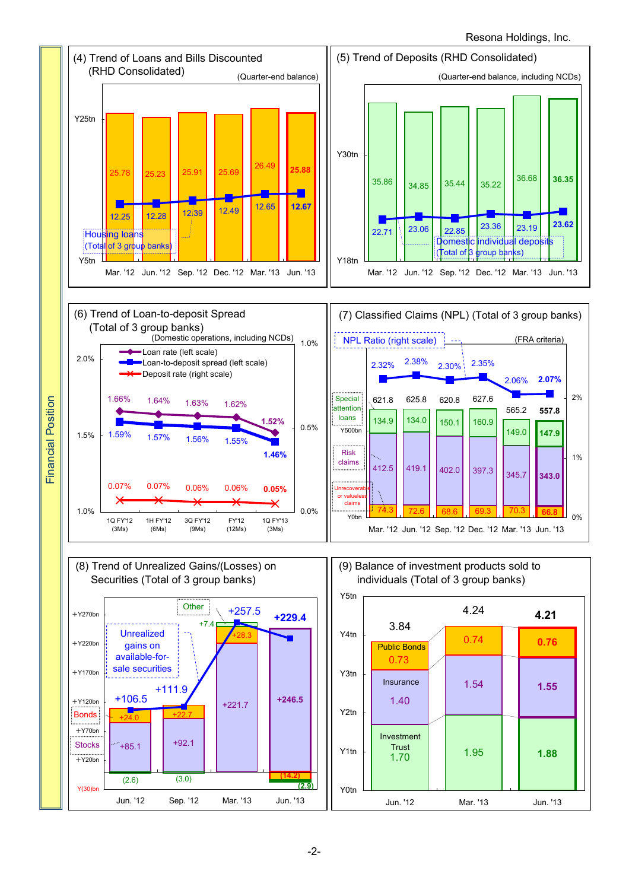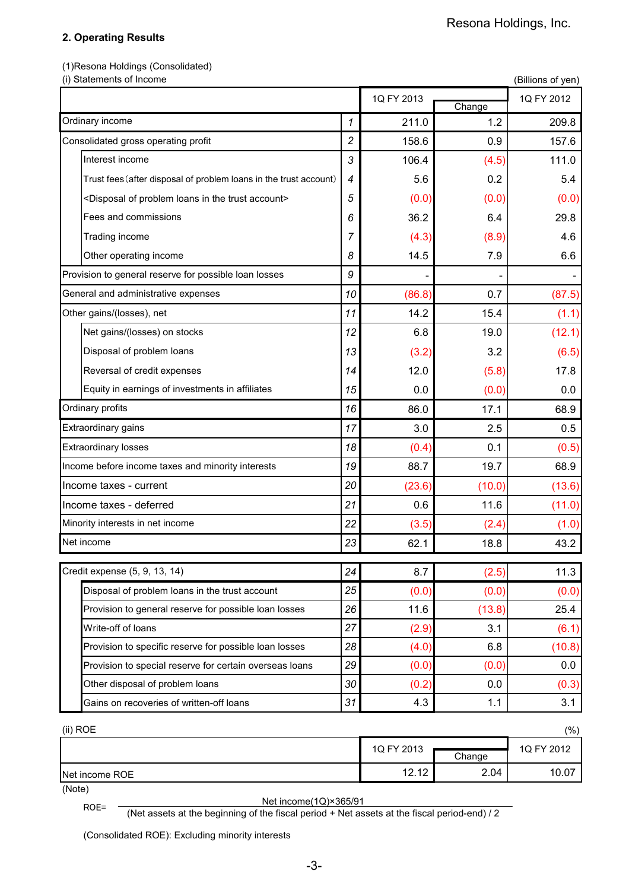# **2. Operating Results**

(1)Resona Holdings (Consolidated)

| (i) Statements of Income                                                         |                |            |        | (Billions of yen) |
|----------------------------------------------------------------------------------|----------------|------------|--------|-------------------|
|                                                                                  |                | 1Q FY 2013 | Change | 1Q FY 2012        |
| Ordinary income                                                                  | 1              | 211.0      | 1.2    | 209.8             |
| Consolidated gross operating profit                                              | 2              | 158.6      | 0.9    | 157.6             |
| Interest income                                                                  | 3              | 106.4      | (4.5)  | 111.0             |
| Trust fees (after disposal of problem loans in the trust account)                | $\overline{4}$ | 5.6        | 0.2    | 5.4               |
| <disposal account="" in="" loans="" of="" problem="" the="" trust=""></disposal> | 5              | (0.0)      | (0.0)  | (0.0)             |
| Fees and commissions                                                             | 6              | 36.2       | 6.4    | 29.8              |
| Trading income                                                                   | 7              | (4.3)      | (8.9)  | 4.6               |
| Other operating income                                                           | 8              | 14.5       | 7.9    | 6.6               |
| Provision to general reserve for possible loan losses                            | 9              |            |        |                   |
| General and administrative expenses                                              | 10             | (86.8)     | 0.7    | (87.5)            |
| Other gains/(losses), net                                                        | 11             | 14.2       | 15.4   | (1.1)             |
| Net gains/(losses) on stocks                                                     | 12             | 6.8        | 19.0   | (12.1)            |
| Disposal of problem loans                                                        | 13             | (3.2)      | 3.2    | (6.5)             |
| Reversal of credit expenses                                                      | 14             | 12.0       | (5.8)  | 17.8              |
| Equity in earnings of investments in affiliates                                  | 15             | 0.0        | (0.0)  | 0.0               |
| Ordinary profits                                                                 | 16             | 86.0       | 17.1   | 68.9              |
| Extraordinary gains                                                              | 17             | 3.0        | 2.5    | 0.5               |
| <b>Extraordinary losses</b>                                                      | 18             | (0.4)      | 0.1    | (0.5)             |
| Income before income taxes and minority interests                                | 19             | 88.7       | 19.7   | 68.9              |
| Income taxes - current                                                           | 20             | (23.6)     | (10.0) | (13.6)            |
| Income taxes - deferred                                                          | 21             | 0.6        | 11.6   | (11.0)            |
| Minority interests in net income                                                 | 22             | (3.5)      | (2.4)  | (1.0)             |
| Net income                                                                       | 23             | 62.1       | 18.8   | 43.2              |
| Credit expense (5, 9, 13, 14)                                                    | 24             | 8.7        | (2.5)  | 11.3              |
| Disposal of problem loans in the trust account                                   | 25             | (0.0)      | (0.0)  | (0.0)             |
| Provision to general reserve for possible loan losses                            | 26             | 11.6       | (13.8) | 25.4              |
| Write-off of loans                                                               | 27             | (2.9)      | 3.1    | (6.1)             |
| Provision to specific reserve for possible loan losses                           | 28             | (4.0)      | 6.8    | (10.8)            |
| Provision to special reserve for certain overseas loans                          | 29             | (0.0)      | (0.0)  | 0.0               |
| Other disposal of problem loans                                                  | 30             | (0.2)      | 0.0    | (0.3)             |
| Gains on recoveries of written-off loans                                         | 31             | 4.3        | 1.1    | 3.1               |
| (ii) ROE                                                                         |                |            |        | $(\% )$           |
|                                                                                  |                | 1Q FY 2013 | Change | 1Q FY 2012        |
| Net income ROE                                                                   |                | 12.12      | 2.04   | 10.07             |

Net income ROE

(Note)

ROE=  $\frac{\text{Net income}(1Q) \times 365/91}{\text{(Net assets at the beginning of the fiscal period + Net assets at the fiscal period-end) / 2}$ 

(Consolidated ROE): Excluding minority interests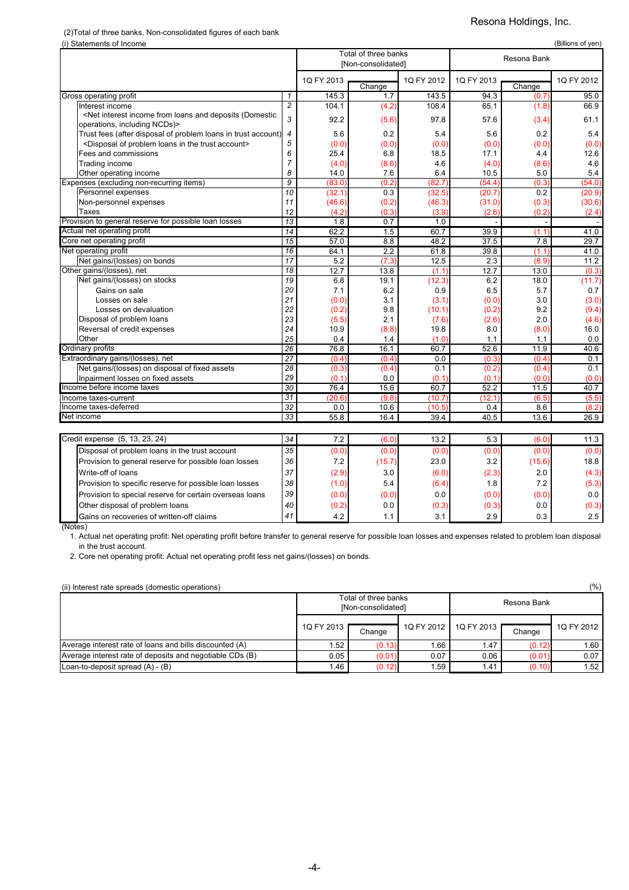# (2)Total of three banks, Non-consolidated figures of each bank

## Resona Holdings, Inc.

| (i) Statements of Income                                                                                                                                                            |                 |                                     |                    |            |            |          | (Billions of yen) |  |  |
|-------------------------------------------------------------------------------------------------------------------------------------------------------------------------------------|-----------------|-------------------------------------|--------------------|------------|------------|----------|-------------------|--|--|
|                                                                                                                                                                                     |                 | Total of three banks<br>Resona Bank |                    |            |            |          |                   |  |  |
|                                                                                                                                                                                     |                 |                                     | [Non-consolidated] |            |            |          |                   |  |  |
|                                                                                                                                                                                     |                 | 1Q FY 2013                          |                    | 1Q FY 2012 | 1Q FY 2013 |          | 1Q FY 2012        |  |  |
|                                                                                                                                                                                     |                 |                                     | Change             |            |            | Change   |                   |  |  |
| Gross operating profit                                                                                                                                                              | $\mathbf{1}$    | 145.3                               | 1.7                | 143.5      | 94.3       | (0.7)    | 95.0              |  |  |
| Interest income                                                                                                                                                                     | $\overline{c}$  | 104.1                               | (4.2)              | 108.4      | 65.1       | (1.8)    | 66.9              |  |  |
| <net (domestic<="" and="" deposits="" from="" income="" interest="" loans="" td=""><td>3</td><td>92.2</td><td>(5.6)</td><td>97.8</td><td>57.6</td><td>(3.4)</td><td>61.1</td></net> | 3               | 92.2                                | (5.6)              | 97.8       | 57.6       | (3.4)    | 61.1              |  |  |
| operations, including NCDs)>                                                                                                                                                        |                 |                                     |                    |            |            |          |                   |  |  |
| Trust fees (after disposal of problem loans in trust account)                                                                                                                       | 4               | 5.6                                 | 0.2                | 5.4        | 5.6        | 0.2      | 5.4               |  |  |
| <disposal account="" in="" loans="" of="" problem="" the="" trust=""></disposal>                                                                                                    | 5               | (0.0)                               | (0.0)              | (0.0)      | (0.0)      | (0.0)    | (0.0)             |  |  |
| Fees and commissions                                                                                                                                                                | 6               | 25.4                                | 6.8                | 18.5       | 17.1       | 4.4      | 12.6              |  |  |
| Trading income                                                                                                                                                                      | 7               | (4.0)                               | (8.6)              | 4.6        | (4.0)      | (8.6)    | 4.6               |  |  |
| Other operating income                                                                                                                                                              | 8               | 14.0                                | 7.6                | 6.4        | 10.5       | 5.0      | 5.4               |  |  |
| Expenses (excluding non-recurring items)                                                                                                                                            | 9               | (83.0)                              | (0.2)              | (82.7)     | (54.4)     | (0.3)    | (54.0)            |  |  |
| Personnel expenses                                                                                                                                                                  | 10              | (32.1)                              | 0.3                | (32.5)     | (20.7)     | 0.2      | (20.9)            |  |  |
| Non-personnel expenses                                                                                                                                                              | 11              | (46.6)                              | (0.2)              | (46.3)     | (31.0)     | (0.3)    | (30.6)            |  |  |
| Taxes                                                                                                                                                                               | 12              | (4.2)                               | (0.3)              | (3.9)      | (2.6)      | (0.2)    | (2.4)             |  |  |
| Provision to general reserve for possible loan losses                                                                                                                               | 13              | 1.8                                 | 0.7                | 1.0        |            |          |                   |  |  |
| Actual net operating profit                                                                                                                                                         | $\overline{14}$ | 62.2                                | 1.5                | 60.7       | 39.9       | (1.1)    | 41.0              |  |  |
| Core net operating profit                                                                                                                                                           | 15              | 57.0                                | 8.8                | 48.2       | 37.5       | 7.8      | 29.7              |  |  |
| Net operating profit                                                                                                                                                                | 16              | 64.1                                | 2.2                | 61.8       | 39.8       | (1.1)    | 41.0              |  |  |
| Net gains/(losses) on bonds                                                                                                                                                         | $\overline{17}$ | 5.2                                 | (7.3)              | 12.5       | 2.3        | (8.9)    | 11.2              |  |  |
| Other gains/(losses), net                                                                                                                                                           | 18              | 12.7                                | 13.8               | (1.1)      | 12.7       | 13.0     | (0.3)             |  |  |
| Net gains/(losses) on stocks                                                                                                                                                        | $\overline{19}$ | 6.8                                 | 19.1               | (12.3)     | 6.2        | 18.0     | (11.7)            |  |  |
| Gains on sale                                                                                                                                                                       | 20              | 7.1                                 | 6.2                | 0.9        | 6.5        | 5.7      | 0.7               |  |  |
| Losses on sale                                                                                                                                                                      | 21              | (0.0)                               | 3.1                | (3.1)      | (0.0)      | 3.0      | (3.0)             |  |  |
| Losses on devaluation                                                                                                                                                               | 22              | (0.2)                               | 9.8                | (10.1)     | (0.2)      | 9.2      | (9.4)             |  |  |
| Disposal of problem loans                                                                                                                                                           | 23              | (5.5)                               | 2.1                | (7.6)      | (2.6)      | 2.0      | (4.6)             |  |  |
| Reversal of credit expenses                                                                                                                                                         | 24              | 10.9                                | (8.8)              | 19.8       | 8.0        | (8.0)    | 16.0              |  |  |
| Other                                                                                                                                                                               | 25              | 0.4                                 | 1.4                | (1.0)      | 1.1        | 1.1      | 0.0               |  |  |
| Ordinary profits                                                                                                                                                                    | $\overline{26}$ | 76.8                                | 16.1               | 60.7       | 52.6       | 11.9     | 40.6              |  |  |
| Extraordinary gains/(losses), net                                                                                                                                                   | $\overline{27}$ | (0.4)                               | (0.4)              | 0.0        | (0.3)      | (0.4)    | 0.1               |  |  |
| Net gains/(losses) on disposal of fixed assets                                                                                                                                      | 28              | (0.3)                               | (0.4)              | 0.1        | (0.2)      | (0.4)    | 0.1               |  |  |
| Inpairment losses on fixed assets                                                                                                                                                   | 29              | (0.1)                               | 0.0                | (0.1)      | (0.1)      | (0.0)    | (0.0)             |  |  |
| Income before income taxes                                                                                                                                                          | $\overline{30}$ | 76.4                                | 15.6               | 60.7       | 52.2       | 11.5     | 40.7              |  |  |
| Income taxes-current                                                                                                                                                                | 31              | (20.6)                              | (9.8)              | (10.7)     | (12.1)     | (6.5)    | (5.5)             |  |  |
| Income taxes-deferred                                                                                                                                                               | 32              | 0.0                                 | 10.6               | (10.5)     | 0.4        | 8.6      | (8.2)             |  |  |
| Net income                                                                                                                                                                          | 33              | 55.8                                | 16.4               | 39.4       | 40.5       | 13.6     | 26.9              |  |  |
|                                                                                                                                                                                     |                 |                                     |                    |            |            |          |                   |  |  |
| Credit expense (5, 13, 23, 24)                                                                                                                                                      | 7.2             | (6.0)                               | 13.2               | 5.3        | (6.0)      | 11.3     |                   |  |  |
| Disposal of problem loans in the trust account                                                                                                                                      | 35              | (0.0)                               | (0.0)              | (0.0)      | (0.0)      | (0.0)    | (0.0)             |  |  |
| Provision to general reserve for possible loan losses                                                                                                                               | 36              | 7.2                                 | (15.7)             | 23.0       | 3.2        | (15.6)   | 18.8              |  |  |
| $Mrito$ off of loang                                                                                                                                                                | 27              | (2.0)                               | $\Omega$           | (0, 0)     | ים חז      | $\Omega$ | (1.2)             |  |  |

| Provision to general reserve for possible loan losses   | 36 | 7.2   | (15.7) | 23.0  | 3.2   | (15.6) | 18.8  |
|---------------------------------------------------------|----|-------|--------|-------|-------|--------|-------|
| Write-off of loans                                      | 37 | (2.9) | 3.0    | (6.0) | (2.3) | 2.0    | (4.3) |
| Provision to specific reserve for possible loan losses  | 38 | (1.0) | 5.4    | (6.4) | 1.8   | 7.2    | (5.3) |
| Provision to special reserve for certain overseas loans | 39 | (0.0) | (0.0)  | 0.0   | (0.0) | (0.0)  | 0.0   |
| Other disposal of problem loans                         | 40 | (0.2) | 0.0    | (0.3) | (0.3) | 0.0    | (0.3) |
| Gains on recoveries of written-off claims               | 41 | 4.2 l |        | 3.1   | 2.9   | 0.3    | 2.5   |
| Intes)                                                  |    |       |        |       |       |        |       |

(No

1. Actual net operating profit: Net operating profit before transfer to general reserve for possible loan losses and expenses related to problem loan disposal in the trust account.

2. Core net operating profit: Actual net operating profit less net gains/(losses) on bonds.

(ii) Interest rate spreads (domestic operations) (%)

| $\sim$ $\sim$                                            |                     | Total of three banks<br>[Non-consolidated] |            | Resona Bank         |        |              |
|----------------------------------------------------------|---------------------|--------------------------------------------|------------|---------------------|--------|--------------|
|                                                          | 1Q FY 2013 <b>I</b> | Change                                     | 1Q FY 2012 | 1Q FY 2013 <b>I</b> | Change | 1Q FY 2012 1 |
| Average interest rate of loans and bills discounted (A)  | 1.52                | (0.13)                                     | 1.66       | 1.47                | (0.12) | 1.60         |
| Average interest rate of deposits and negotiable CDs (B) | 0.05                | (0.01)                                     | 0.07       | 0.06                | (0.01) | 0.07         |
| Loan-to-deposit spread $(A) - (B)$                       | 1.46                | (0.12)                                     | . 59       | 1.41                | (0.10) | 1.52         |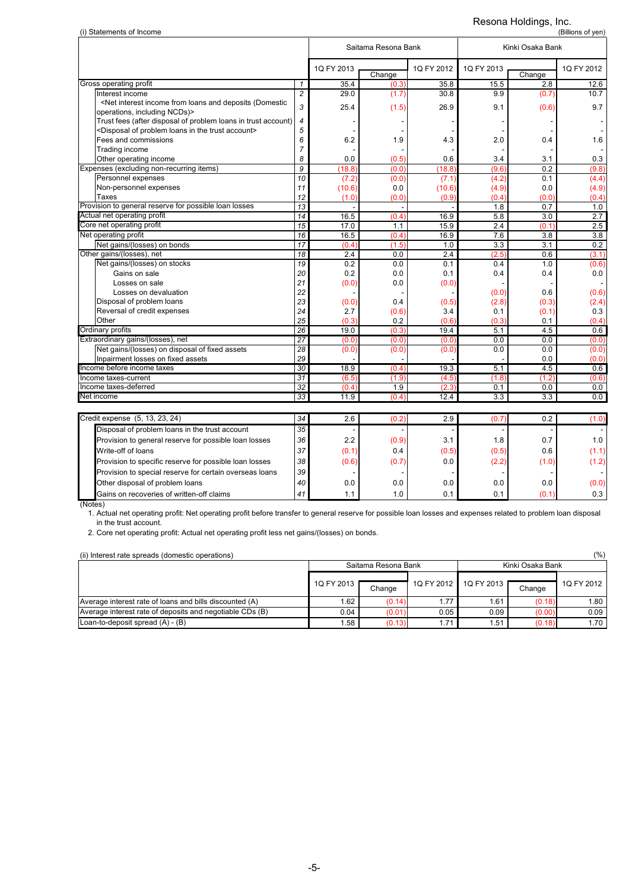# Resona Holdings, Inc.

| (i) Statements of Income                                                                                                                                 |                |            |                     |            | (Billions of yen) |                  |                  |  |  |
|----------------------------------------------------------------------------------------------------------------------------------------------------------|----------------|------------|---------------------|------------|-------------------|------------------|------------------|--|--|
|                                                                                                                                                          |                |            | Saitama Resona Bank |            |                   | Kinki Osaka Bank |                  |  |  |
|                                                                                                                                                          |                | 1Q FY 2013 | Change              | 1Q FY 2012 | 1Q FY 2013        | Change           | 1Q FY 2012       |  |  |
| Gross operating profit                                                                                                                                   | $\mathbf{1}$   | 35.4       | (0.3)               | 35.8       | 15.5              | 2.8              | 12.6             |  |  |
| Interest income                                                                                                                                          | $\overline{c}$ | 29.0       | (1.7)               | 30.8       | 9.9               | (0.7)            | 10.7             |  |  |
| <net (domestic<="" and="" deposits="" from="" income="" interest="" loans="" td=""><td></td><td></td><td></td><td></td><td></td><td></td><td></td></net> |                |            |                     |            |                   |                  |                  |  |  |
| operations, including NCDs)>                                                                                                                             | 3              | 25.4       | (1.5)               | 26.9       | 9.1               | (0.6)            | 9.7              |  |  |
| Trust fees (after disposal of problem loans in trust account)                                                                                            |                |            |                     |            |                   |                  |                  |  |  |
| <disposal account="" in="" loans="" of="" problem="" the="" trust=""></disposal>                                                                         | 5              |            |                     |            |                   |                  |                  |  |  |
| Fees and commissions                                                                                                                                     | 6              | 6.2        | 1.9                 | 4.3        | 2.0               | 0.4              | 1.6              |  |  |
| Trading income                                                                                                                                           | $\overline{7}$ |            |                     |            |                   |                  |                  |  |  |
| Other operating income                                                                                                                                   | 8              | 0.0        | (0.5)               | 0.6        | 3.4               | 3.1              | 0.3              |  |  |
| Expenses (excluding non-recurring items)                                                                                                                 | 9              | (18.8)     | (0.0)               | (18.8)     | (9.6)             | 0.2              | (9.8)            |  |  |
| Personnel expenses                                                                                                                                       | 10             | (7.2)      | (0.0)               | (7.1)      | (4.2)             | 0.1              | (4.4)            |  |  |
| Non-personnel expenses                                                                                                                                   | 11             | (10.6)     | 0.0                 | (10.6)     | (4.9)             | 0.0              | (4.9)            |  |  |
| <b>Taxes</b>                                                                                                                                             | 12             | (1.0)      | (0.0)               | (0.9)      | (0.4)             | (0.0)            | (0.4)            |  |  |
| Provision to general reserve for possible loan losses                                                                                                    | 13             |            |                     |            | 1.8               | 0.7              | 1.0              |  |  |
| Actual net operating profit                                                                                                                              | 14             | 16.5       | (0.4)               | 16.9       | 5.8               | 3.0              | 2.7              |  |  |
| Core net operating profit                                                                                                                                | 15             | 17.0       | 1.1                 | 15.9       | 2.4               | (0.1)            | 2.5              |  |  |
| Net operating profit                                                                                                                                     | 16             | 16.5       | (0.4)               | 16.9       | 7.6               | 3.8              | $\overline{3.8}$ |  |  |
| Net gains/(losses) on bonds                                                                                                                              | 17             | (0.4)      | (1.5)               | 1.0        | 3.3               | 3.1              | 0.2              |  |  |
| Other gains/(losses), net                                                                                                                                | 18             | 2.4        | 0.0                 | 2.4        | (2.5)             | 0.6              | (3.1)            |  |  |
| Net gains/(losses) on stocks                                                                                                                             | 19             | 0.2        | 0.0                 | 0.1        | 0.4               | 1.0              | (0.6)            |  |  |
| Gains on sale                                                                                                                                            | 20             | 0.2        | 0.0                 | 0.1        | 0.4               | 0.4              | 0.0              |  |  |
| Losses on sale                                                                                                                                           | 21             | (0.0)      | 0.0                 | (0.0)      |                   |                  |                  |  |  |
| Losses on devaluation                                                                                                                                    | 22             |            |                     |            | (0.0)             | 0.6              | (0.6)            |  |  |
| Disposal of problem loans                                                                                                                                | 23             | (0.0)      | 0.4                 | (0.5)      | (2.8)             | (0.3)            | (2.4)            |  |  |
| Reversal of credit expenses                                                                                                                              | 24             | 2.7        | (0.6)               | 3.4        | 0.1               | (0.1)            | 0.3              |  |  |
| Other                                                                                                                                                    | 25             | (0.3)      | 0.2                 | (0.6)      | (0.3)             | 0.1              | (0.4)            |  |  |
| Ordinary profits                                                                                                                                         | 26             | 19.0       | (0.3)               | 19.4       | 5.1               | 4.5              | 0.6              |  |  |
| Extraordinary gains/(losses), net                                                                                                                        | 27             | (0.0)      | (0.0)               | (0.0)      | 0.0               | 0.0              | (0.0)            |  |  |
| Net gains/(losses) on disposal of fixed assets                                                                                                           | 28             | (0.0)      | (0.0)               | (0.0)      | 0.0               | 0.0              | (0.0)            |  |  |
| Inpairment losses on fixed assets                                                                                                                        | 29             |            |                     |            |                   | 0.0              | (0.0)            |  |  |
| Income before income taxes                                                                                                                               | 30             | 18.9       | (0.4)               | 19.3       | 5.1               | 4.5              | 0.6              |  |  |
| Income taxes-current                                                                                                                                     | 31             | (6.5)      | (1.9)               | (4.5)      | (1.8)             | (1.2)            | (0.6)            |  |  |
| Income taxes-deferred                                                                                                                                    | 32             | (0.4)      | 1.9                 | (2.3)      | 0.1               | 0.0              | 0.0              |  |  |
| Net income                                                                                                                                               | 33             | 11.9       | (0.4)               | 12.4       | 3.3               | 3.3              | 0.0              |  |  |
| Credit expense (5, 13, 23, 24)                                                                                                                           | 34             | 2.6        | (0.2)               | 2.9        | (0.7)             | 0.2              | (1.0)            |  |  |
| Disposal of problem loans in the trust account                                                                                                           | 35             |            |                     |            |                   |                  |                  |  |  |
| Provision to general reserve for possible loan losses                                                                                                    | 36             | 2.2        | (0.9)               | 3.1        | 1.8               | 0.7              | 1.0              |  |  |
| Write-off of loans                                                                                                                                       | 37             | (0.1)      | 0.4                 | (0.5)      | (0.5)             | 0.6              | (1.1)            |  |  |
| Provision to specific reserve for possible loan losses                                                                                                   | 38             | (0.6)      | (0.7)               | 0.0        | (2.2)             | (1.0)            | (1.2)            |  |  |
|                                                                                                                                                          | 39             |            |                     |            |                   |                  |                  |  |  |
| Provision to special reserve for certain overseas loans                                                                                                  |                |            |                     |            |                   |                  |                  |  |  |
| Other disposal of problem loans                                                                                                                          | 40             | 0.0        | 0.0                 | 0.0        | 0.0               | 0.0              | (0.0)            |  |  |

Gains on recoveries of written-off claims **41** 1.1 1.0 0.1 0.1 0.1 0.1 0.3 (Notes)

1. Actual net operating profit: Net operating profit before transfer to general reserve for possible loan losses and expenses related to problem loan disposal in the trust account.

2. Core net operating profit: Actual net operating profit less net gains/(losses) on bonds.

### (ii) Interest rate spreads (domestic operations) (%)

|                                                          |                     | Saitama Resona Bank<br>Kinki Osaka Bank |            |                     |        |            |  |  |  |
|----------------------------------------------------------|---------------------|-----------------------------------------|------------|---------------------|--------|------------|--|--|--|
|                                                          | 1Q FY 2013 <b>F</b> | Change                                  | 1Q FY 2012 | 1Q FY 2013 <b>T</b> | Change | 1Q FY 2012 |  |  |  |
| Average interest rate of loans and bills discounted (A)  | .62 <sub>1</sub>    | (0.14)                                  | 1.77       | 1.61                | (0.18) | 1.80       |  |  |  |
| Average interest rate of deposits and negotiable CDs (B) | 0.04                | (0.01)                                  | 0.05       | 0.09                | (0.00) | 0.09       |  |  |  |
| Loan-to-deposit spread $(A) - (B)$                       | .58                 | (0.13)                                  | 1.71       | 1.51                | (0.18) | 1.70       |  |  |  |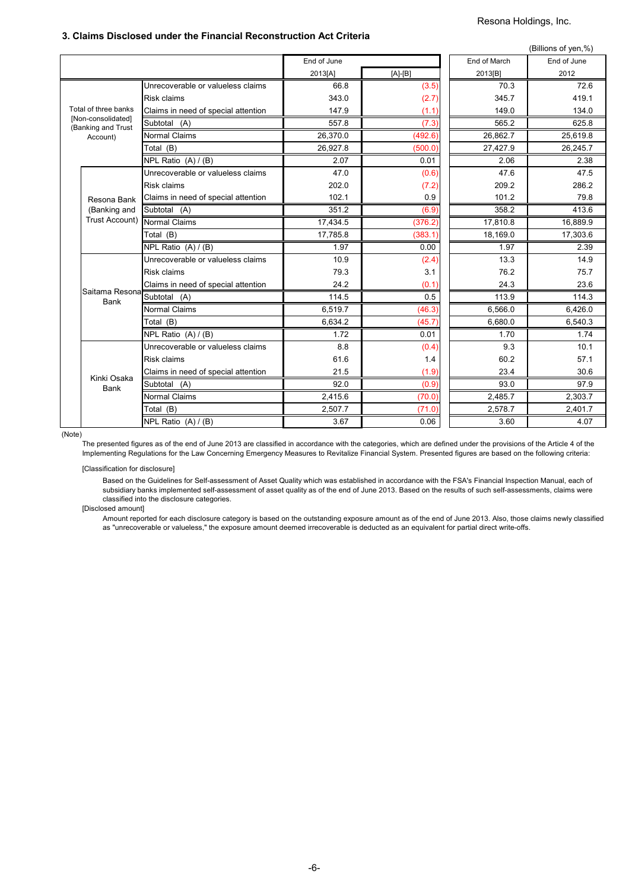# Resona Holdings, Inc.

## **3. Claims Disclosed under the Financial Reconstruction Act Criteria**

|                                          |                                     |             |           |              | (Billions of yen,%) |
|------------------------------------------|-------------------------------------|-------------|-----------|--------------|---------------------|
|                                          |                                     | End of June |           | End of March | End of June         |
|                                          |                                     | 2013[A]     | $[A]-[B]$ | 2013[B]      | 2012                |
|                                          | Unrecoverable or valueless claims   | 66.8        | (3.5)     | 70.3         | 72.6                |
|                                          | Risk claims                         | 343.0       | (2.7)     | 345.7        | 419.1               |
| Total of three banks                     | Claims in need of special attention | 147.9       | (1.1)     | 149.0        | 134.0               |
| [Non-consolidated]<br>(Banking and Trust | Subtotal (A)                        | 557.8       | (7.3)     | 565.2        | 625.8               |
| Account)                                 | <b>Normal Claims</b>                | 26,370.0    | (492.6)   | 26,862.7     | 25,619.8            |
|                                          | Total (B)                           | 26,927.8    | (500.0)   | 27,427.9     | 26,245.7            |
|                                          | NPL Ratio (A) / (B)                 | 2.07        | 0.01      | 2.06         | 2.38                |
|                                          | Unrecoverable or valueless claims   | 47.0        | (0.6)     | 47.6         | 47.5                |
|                                          | <b>Risk claims</b>                  | 202.0       | (7.2)     | 209.2        | 286.2               |
| Resona Bank                              | Claims in need of special attention | 102.1       | 0.9       | 101.2        | 79.8                |
| (Banking and                             | Subtotal (A)                        | 351.2       | (6.9)     | 358.2        | 413.6               |
| Trust Account)                           | <b>Normal Claims</b>                | 17,434.5    | (376.2)   | 17,810.8     | 16,889.9            |
|                                          | Total (B)                           | 17,785.8    | (383.1)   | 18,169.0     | 17,303.6            |
|                                          | NPL Ratio (A) / (B)                 | 1.97        | 0.00      | 1.97         | 2.39                |
|                                          | Unrecoverable or valueless claims   | 10.9        | (2.4)     | 13.3         | 14.9                |
|                                          | <b>Risk claims</b>                  | 79.3        | 3.1       | 76.2         | 75.7                |
|                                          | Claims in need of special attention | 24.2        | (0.1)     | 24.3         | 23.6                |
| Saitama Resona<br><b>Bank</b>            | Subtotal $(A)$                      | 114.5       | 0.5       | 113.9        | 114.3               |
|                                          | <b>Normal Claims</b>                | 6,519.7     | (46.3)    | 6,566.0      | 6,426.0             |
|                                          | Total (B)                           | 6.634.2     | (45.7)    | 6.680.0      | 6,540.3             |
|                                          | NPL Ratio (A) / (B)                 | 1.72        | 0.01      | 1.70         | 1.74                |
|                                          | Unrecoverable or valueless claims   | 8.8         | (0.4)     | 9.3          | 10.1                |
|                                          | <b>Risk claims</b>                  | 61.6        | 1.4       | 60.2         | 57.1                |
| Kinki Osaka                              | Claims in need of special attention | 21.5        | (1.9)     | 23.4         | 30.6                |
| <b>Bank</b>                              | Subtotal (A)                        | 92.0        | (0.9)     | 93.0         | 97.9                |
|                                          | <b>Normal Claims</b>                | 2,415.6     | (70.0)    | 2,485.7      | 2,303.7             |
|                                          | Total (B)                           | 2,507.7     | (71.0)    | 2,578.7      | 2,401.7             |
|                                          | NPL Ratio (A) / (B)                 | 3.67        | 0.06      | 3.60         | 4.07                |

(Note)

The presented figures as of the end of June 2013 are classified in accordance with the categories, which are defined under the provisions of the Article 4 of the Implementing Regulations for the Law Concerning Emergency Measures to Revitalize Financial System. Presented figures are based on the following criteria:

[Classification for disclosure]

Based on the Guidelines for Self-assessment of Asset Quality which was established in accordance with the FSA's Financial Inspection Manual, each of subsidiary banks implemented self-assessment of asset quality as of the end of June 2013. Based on the results of such self-assessments, claims were classified into the disclosure categories.

[Disclosed amount]

Amount reported for each disclosure category is based on the outstanding exposure amount as of the end of June 2013. Also, those claims newly classified as "unrecoverable or valueless," the exposure amount deemed irrecoverable is deducted as an equivalent for partial direct write-offs.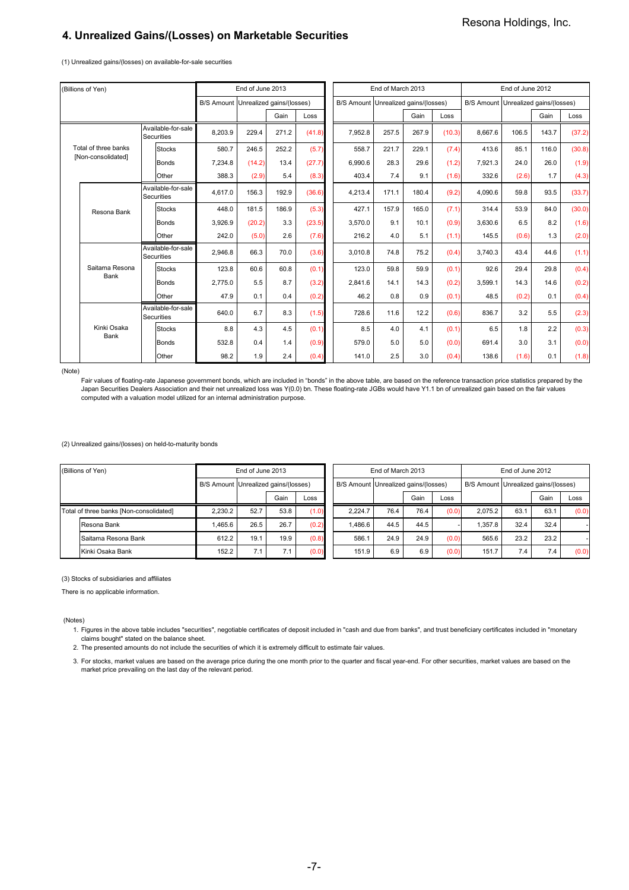## **4. Unrealized Gains/(Losses) on Marketable Securities**

(1) Unrealized gains/(losses) on available-for-sale securities

|  | (Billions of Yen)      |                                         |                                      | End of June 2013 |       |        |                                      | End of March 2013 |       |        |                                      | End of June 2012 |       |        |
|--|------------------------|-----------------------------------------|--------------------------------------|------------------|-------|--------|--------------------------------------|-------------------|-------|--------|--------------------------------------|------------------|-------|--------|
|  |                        |                                         | B/S Amount Unrealized gains/(losses) |                  |       |        | B/S Amount Unrealized gains/(losses) |                   |       |        | B/S Amount Unrealized gains/(losses) |                  |       |        |
|  |                        |                                         |                                      |                  | Gain  | Loss   |                                      |                   | Gain  | Loss   |                                      |                  | Gain  | Loss   |
|  |                        | Available-for-sale<br><b>Securities</b> | 8.203.9                              | 229.4            | 271.2 | (41.8) | 7.952.8                              | 257.5             | 267.9 | (10.3) | 8.667.6                              | 106.5            | 143.7 | (37.2) |
|  | Total of three banks   | <b>Stocks</b>                           | 580.7                                | 246.5            | 252.2 | (5.7)  | 558.7                                | 221.7             | 229.1 | (7.4)  | 413.6                                | 85.1             | 116.0 | (30.8) |
|  | [Non-consolidated]     | Bonds                                   | 7,234.8                              | (14.2)           | 13.4  | (27.7) | 6.990.6                              | 28.3              | 29.6  | (1.2)  | 7,921.3                              | 24.0             | 26.0  | (1.9)  |
|  |                        | Other                                   | 388.3                                | (2.9)            | 5.4   | (8.3)  | 403.4                                | 7.4               | 9.1   | (1.6)  | 332.6                                | (2.6)            | 1.7   | (4.3)  |
|  | Resona Bank            | Available-for-sale<br><b>Securities</b> | 4,617.0                              | 156.3            | 192.9 | (36.6) | 4,213.4                              | 171.1             | 180.4 | (9.2)  | 4.090.6                              | 59.8             | 93.5  | (33.7) |
|  |                        | <b>Stocks</b>                           | 448.0                                | 181.5            | 186.9 | (5.3)  | 427.1                                | 157.9             | 165.0 | (7.1)  | 314.4                                | 53.9             | 84.0  | (30.0) |
|  |                        | Bonds                                   | 3.926.9                              | (20.2)           | 3.3   | (23.5) | 3.570.0                              | 9.1               | 10.1  | (0.9)  | 3.630.6                              | 6.5              | 8.2   | (1.6)  |
|  |                        | Other                                   | 242.0                                | (5.0)            | 2.6   | (7.6)  | 216.2                                | 4.0               | 5.1   | (1.1)  | 145.5                                | (0.6)            | 1.3   | (2.0)  |
|  |                        | Available-for-sale<br><b>Securities</b> | 2.946.8                              | 66.3             | 70.0  | (3.6)  | 3.010.8                              | 74.8              | 75.2  | (0.4)  | 3.740.3                              | 43.4             | 44.6  | (1.1)  |
|  | Saitama Resona<br>Bank | <b>Stocks</b>                           | 123.8                                | 60.6             | 60.8  | (0.1)  | 123.0                                | 59.8              | 59.9  | (0.1)  | 92.6                                 | 29.4             | 29.8  | (0.4)  |
|  |                        | <b>Bonds</b>                            | 2,775.0                              | 5.5              | 8.7   | (3.2)  | 2,841.6                              | 14.1              | 14.3  | (0.2)  | 3,599.1                              | 14.3             | 14.6  | (0.2)  |
|  |                        | Other                                   | 47.9                                 | 0.1              | 0.4   | (0.2)  | 46.2                                 | 0.8               | 0.9   | (0.1)  | 48.5                                 | (0.2)            | 0.1   | (0.4)  |
|  |                        | Available-for-sale<br><b>Securities</b> | 640.0                                | 6.7              | 8.3   | (1.5)  | 728.6                                | 11.6              | 12.2  | (0.6)  | 836.7                                | 3.2              | 5.5   | (2.3)  |
|  | Kinki Osaka<br>Bank    | <b>Stocks</b>                           | 8.8                                  | 4.3              | 4.5   | (0.1)  | 8.5                                  | 4.0               | 4.1   | (0.1)  | 6.5                                  | 1.8              | 2.2   | (0.3)  |
|  |                        | Bonds                                   | 532.8                                | 0.4              | 1.4   | (0.9)  | 579.0                                | 5.0               | 5.0   | (0.0)  | 691.4                                | 3.0              | 3.1   | (0.0)  |
|  |                        | Other                                   | 98.2                                 | 1.9              | 2.4   | (0.4)  | 141.0                                | 2.5               | 3.0   | (0.4)  | 138.6                                | (1.6)            | 0.1   | (1.8)  |

(Note)

.<br>Fair values of floating-rate Japanese government bonds, which are included in "bonds" in the above table, are based on the reference transaction price statistics prepared by the Japan Securities Dealers Association and their net unrealized loss was Y(0.0) bn. These floating-rate JGBs would have Y1.1 bn of unrealized gain based on the fair values computed with a valuation model utilized for an internal administration purpose.

(2) Unrealized gains/(losses) on held-to-maturity bonds

|                                         | (Billions of Yen)   | End of June 2013 |                                      |      |       |  |                                      | End of March 2013 |      |       |         |      | End of June 2012<br>B/S Amount Unrealized gains/(losses)<br>Gain<br>Loss<br>63.7<br>32.4 |       |
|-----------------------------------------|---------------------|------------------|--------------------------------------|------|-------|--|--------------------------------------|-------------------|------|-------|---------|------|------------------------------------------------------------------------------------------|-------|
|                                         |                     |                  | B/S Amount Unrealized gains/(losses) |      |       |  | B/S Amount Unrealized gains/(losses) |                   |      |       |         |      |                                                                                          |       |
|                                         |                     |                  |                                      | Gain | Loss  |  |                                      |                   | Gain | Loss  |         |      |                                                                                          |       |
| Total of three banks [Non-consolidated] |                     | 2.230.2          | 52.7                                 | 53.8 | (1.0) |  | 2.224.7                              | 76.4              | 76.4 | (0.0) | 2.075.2 | 63.1 |                                                                                          | (0.0) |
|                                         | Resona Bank         | 1.465.6          | 26.5                                 | 26.7 | (0.2) |  | 1.486.6                              | 44.5              | 44.5 |       | 1.357.8 | 32.4 |                                                                                          |       |
|                                         | Saitama Resona Bank | 612.2            | 19.1                                 | 19.9 | (0.8) |  | 586.1                                | 24.9              | 24.9 | (0.0) | 565.6   | 23.2 | 23.2                                                                                     |       |
|                                         | Kinki Osaka Bank    | 152.2            | 7.1                                  | 7.1  | (0.0) |  | 151.9                                | 6.9               | 6.9  | (0.0) | 151.7   | 7.4  | 7.4                                                                                      | (0.0) |

#### (3) Stocks of subsidiaries and affiliates

There is no applicable information.

(Notes)

1. Figures in the above table includes "securities", negotiable certificates of deposit included in "cash and due from banks", and trust beneficiary certificates included in "monetary claims bought" stated on the balance sheet.

2. The presented amounts do not include the securities of which it is extremely difficult to estimate fair values.

3. For stocks, market values are based on the average price during the one month prior to the quarter and fiscal year-end. For other securities, market values are based on the market price prevailing on the last day of the relevant period.